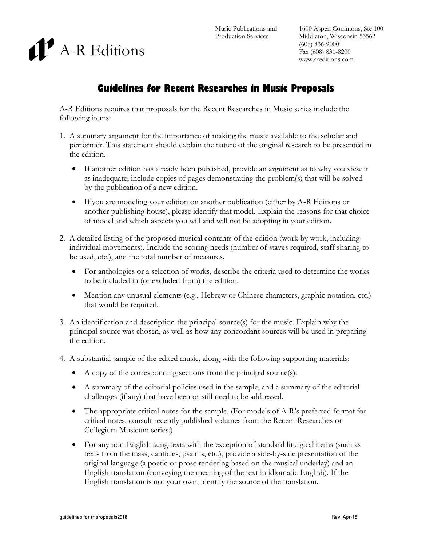Music Publications and Production Services



## **Guidelines for Recent Researches in Music Proposals**

A-R Editions requires that proposals for the Recent Researches in Music series include the following items:

- 1. A summary argument for the importance of making the music available to the scholar and performer. This statement should explain the nature of the original research to be presented in the edition.
	- If another edition has already been published, provide an argument as to why you view it as inadequate; include copies of pages demonstrating the problem(s) that will be solved by the publication of a new edition.
	- If you are modeling your edition on another publication (either by A-R Editions or another publishing house), please identify that model. Explain the reasons for that choice of model and which aspects you will and will not be adopting in your edition.
- 2. A detailed listing of the proposed musical contents of the edition (work by work, including individual movements). Include the scoring needs (number of staves required, staff sharing to be used, etc.), and the total number of measures.
	- For anthologies or a selection of works, describe the criteria used to determine the works to be included in (or excluded from) the edition.
	- Mention any unusual elements (e.g., Hebrew or Chinese characters, graphic notation, etc.) that would be required.
- 3. An identification and description the principal source(s) for the music. Explain why the principal source was chosen, as well as how any concordant sources will be used in preparing the edition.
- 4. A substantial sample of the edited music, along with the following supporting materials:
	- A copy of the corresponding sections from the principal source(s).
	- A summary of the editorial policies used in the sample, and a summary of the editorial challenges (if any) that have been or still need to be addressed.
	- The appropriate critical notes for the sample. (For models of A-R's preferred format for critical notes, consult recently published volumes from the Recent Researches or Collegium Musicum series.)
	- For any non-English sung texts with the exception of standard liturgical items (such as texts from the mass, canticles, psalms, etc.), provide a side-by-side presentation of the original language (a poetic or prose rendering based on the musical underlay) and an English translation (conveying the meaning of the text in idiomatic English). If the English translation is not your own, identify the source of the translation.